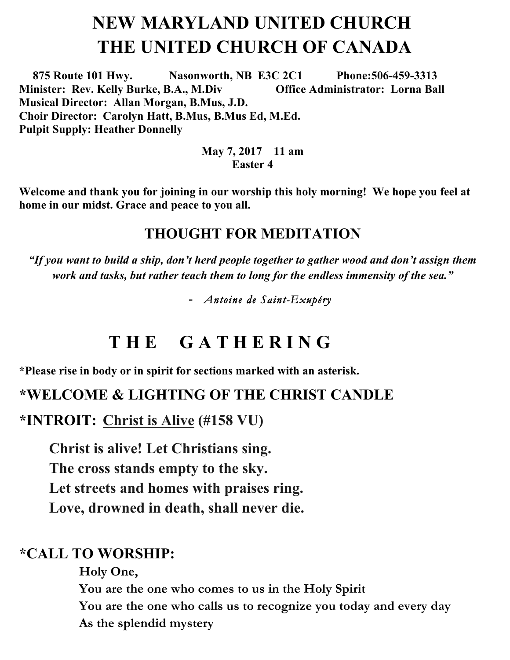## **NEW MARYLAND UNITED CHURCH THE UNITED CHURCH OF CANADA**

 **875 Route 101 Hwy. Nasonworth, NB E3C 2C1 Phone:506-459-3313 Minister: Rev. Kelly Burke, B.A., M.Div Office Administrator: Lorna Ball Musical Director: Allan Morgan, B.Mus, J.D. Choir Director: Carolyn Hatt, B.Mus, B.Mus Ed, M.Ed. Pulpit Supply: Heather Donnelly** 

#### **May 7, 2017 11 am Easter 4**

**Welcome and thank you for joining in our worship this holy morning! We hope you feel at home in our midst. Grace and peace to you all.**

#### **THOUGHT FOR MEDITATION**

*"If you want to build a ship, don't herd people together to gather wood and don't assign them work and tasks, but rather teach them to long for the endless immensity of the sea."*

**-** *Antoine de Saint-Exupéry* 

## **T H E G A T H E R I N G**

**\*Please rise in body or in spirit for sections marked with an asterisk.**

#### **\*WELCOME & LIGHTING OF THE CHRIST CANDLE**

**\*INTROIT: Christ is Alive (#158 VU)**

**Christ is alive! Let Christians sing. The cross stands empty to the sky. Let streets and homes with praises ring. Love, drowned in death, shall never die.** 

#### **\*CALL TO WORSHIP:**

**Holy One,** 

**You are the one who comes to us in the Holy Spirit You are the one who calls us to recognize you today and every day As the splendid mystery**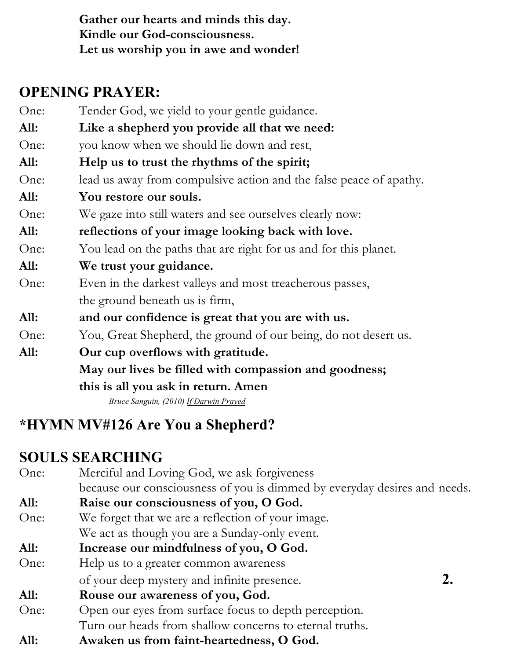**Gather our hearts and minds this day. Kindle our God-consciousness. Let us worship you in awe and wonder!**

#### **OPENING PRAYER:**

- One: Tender God, we yield to your gentle guidance.
- **All: Like a shepherd you provide all that we need:**
- One: you know when we should lie down and rest,
- **All: Help us to trust the rhythms of the spirit;**
- One: lead us away from compulsive action and the false peace of apathy.
- **All: You restore our souls.**
- One: We gaze into still waters and see ourselves clearly now:
- **All: reflections of your image looking back with love.**
- One: You lead on the paths that are right for us and for this planet.
- **All: We trust your guidance.**
- One: Even in the darkest valleys and most treacherous passes, the ground beneath us is firm,
- **All: and our confidence is great that you are with us.**
- One: You, Great Shepherd, the ground of our being, do not desert us.
- **All: Our cup overflows with gratitude. May our lives be filled with compassion and goodness; this is all you ask in return. Amen**

*Bruce Sanguin, (2010) If Darwin Prayed*

### **\*HYMN MV#126 Are You a Shepherd?**

#### **SOULS SEARCHING**

One: Merciful and Loving God, we ask forgiveness because our consciousness of you is dimmed by everyday desires and needs. **All: Raise our consciousness of you, O God.** One: We forget that we are a reflection of your image. We act as though you are a Sunday-only event. **All: Increase our mindfulness of you, O God.** One: Help us to a greater common awareness of your deep mystery and infinite presence. **2. All: Rouse our awareness of you, God.** One: Open our eyes from surface focus to depth perception. Turn our heads from shallow concerns to eternal truths. **All: Awaken us from faint-heartedness, O God.**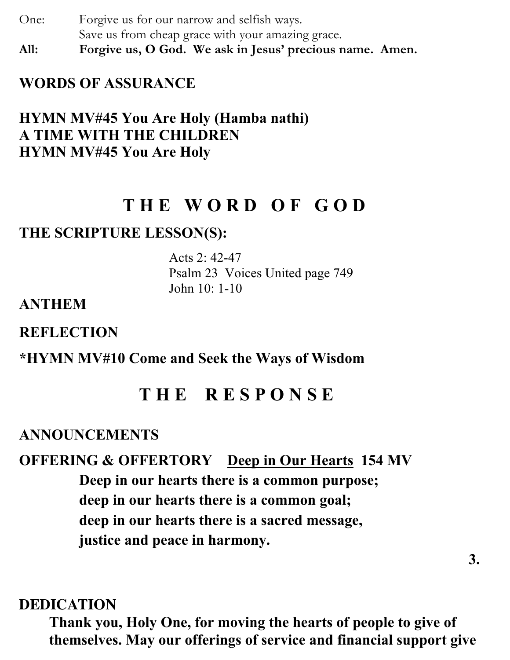One: Forgive us for our narrow and selfish ways. Save us from cheap grace with your amazing grace. **All: Forgive us, O God. We ask in Jesus' precious name. Amen.**

**WORDS OF ASSURANCE**

#### **HYMN MV#45 You Are Holy (Hamba nathi) A TIME WITH THE CHILDREN HYMN MV#45 You Are Holy**

## **T H E W O R D O F G O D**

#### **THE SCRIPTURE LESSON(S):**

Acts 2: 42-47 Psalm 23 Voices United page 749 John 10: 1-10

#### **ANTHEM**

**REFLECTION**

**\*HYMN MV#10 Come and Seek the Ways of Wisdom**

#### **T H E R E S P O N S E**

#### **ANNOUNCEMENTS**

## **OFFERING & OFFERTORY Deep in Our Hearts 154 MV Deep in our hearts there is a common purpose; deep in our hearts there is a common goal; deep in our hearts there is a sacred message, justice and peace in harmony.**

#### **DEDICATION**

**Thank you, Holy One, for moving the hearts of people to give of themselves. May our offerings of service and financial support give**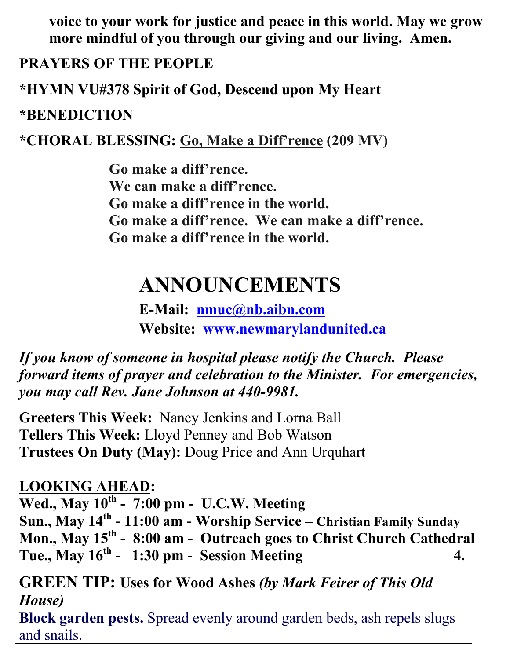**voice to your work for justice and peace in this world. May we grow more mindful of you through our giving and our living. Amen.** 

#### **PRAYERS OF THE PEOPLE**

**\*HYMN VU#378 Spirit of God, Descend upon My Heart**

#### **\*BENEDICTION**

**\*CHORAL BLESSING: Go, Make a Diff'rence (209 MV)**

**Go make a diff'rence. We can make a diff'rence. Go make a diff'rence in the world. Go make a diff'rence. We can make a diff'rence. Go make a diff'rence in the world.** 

# **ANNOUNCEMENTS**

**E-Mail: nmuc@nb.aibn.com Website: www.newmarylandunited.ca**

*If you know of someone in hospital please notify the Church. Please forward items of prayer and celebration to the Minister. For emergencies, you may call Rev. Jane Johnson at 440-9981.*

**Greeters This Week:** Nancy Jenkins and Lorna Ball **Tellers This Week:** Lloyd Penney and Bob Watson **Trustees On Duty (May):** Doug Price and Ann Urquhart

#### **LOOKING AHEAD:**

**Wed., May 10th - 7:00 pm - U.C.W. Meeting Sun., May 14th - 11:00 am - Worship Service – Christian Family Sunday Mon., May 15th - 8:00 am - Outreach goes to Christ Church Cathedral Tue., May 16th - 1:30 pm - Session Meeting 4.** 

**GREEN TIP: Uses for Wood Ashes** *(by Mark Feirer of This Old House)* **Block garden pests.** Spread evenly around garden beds, ash repels slugs and snails.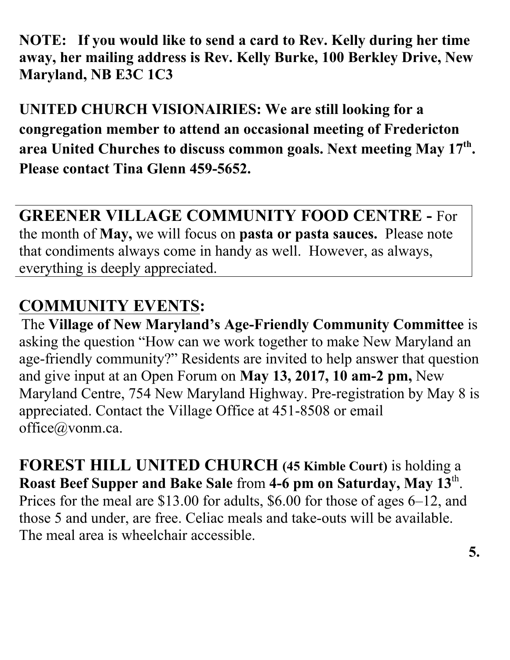**NOTE: If you would like to send a card to Rev. Kelly during her time away, her mailing address is Rev. Kelly Burke, 100 Berkley Drive, New Maryland, NB E3C 1C3**

**UNITED CHURCH VISIONAIRIES: We are still looking for a congregation member to attend an occasional meeting of Fredericton area United Churches to discuss common goals. Next meeting May 17th. Please contact Tina Glenn 459-5652.** 

**GREENER VILLAGE COMMUNITY FOOD CENTRE -** For the month of **May,** we will focus on **pasta or pasta sauces.** Please note that condiments always come in handy as well. However, as always, everything is deeply appreciated.

## **COMMUNITY EVENTS:**

The **Village of New Maryland's Age-Friendly Community Committee** is asking the question "How can we work together to make New Maryland an age-friendly community?" Residents are invited to help answer that question and give input at an Open Forum on **May 13, 2017, 10 am-2 pm,** New Maryland Centre, 754 New Maryland Highway. Pre-registration by May 8 is appreciated. Contact the Village Office at 451-8508 or email office@vonm.ca.

**FOREST HILL UNITED CHURCH (45 Kimble Court)** is holding a **Roast Beef Supper and Bake Sale** from **4-6 pm on Saturday, May 13**th. Prices for the meal are \$13.00 for adults, \$6.00 for those of ages 6–12, and those 5 and under, are free. Celiac meals and take-outs will be available. The meal area is wheelchair accessible.